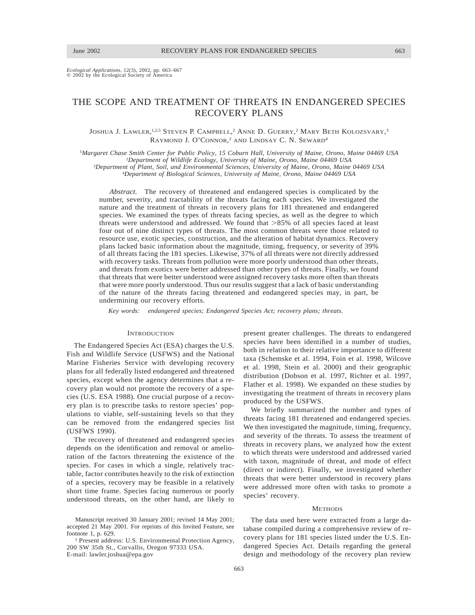*Ecological Applications,* 12(3), 2002, pp. 663–667  $\textcircled{2002}$  by the Ecological Society of America

# THE SCOPE AND TREATMENT OF THREATS IN ENDANGERED SPECIES RECOVERY PLANS

JOSHUA J. LAWLER, <sup>1,2,5</sup> STEVEN P. CAMPBELL,<sup>2</sup> ANNE D. GUERRY,<sup>2</sup> MARY BETH KOLOZSVARY,<sup>3</sup> RAYMOND J. O'CONNOR,<sup>2</sup> AND LINDSAY C. N. SEWARD<sup>4</sup>

<sup>1</sup>*Margaret Chase Smith Center for Public Policy, 15 Coburn Hall, University of Maine, Orono, Maine 04469 USA* 2 *Department of Wildlife Ecology, University of Maine, Orono, Maine 04469 USA* 3 *Department of Plant, Soil, and Environmental Sciences, University of Maine, Orono, Maine 04469 USA*

<sup>4</sup>*Department of Biological Sciences, University of Maine, Orono, Maine 04469 USA*

*Abstract.* The recovery of threatened and endangered species is complicated by the number, severity, and tractability of the threats facing each species. We investigated the nature and the treatment of threats in recovery plans for 181 threatened and endangered species. We examined the types of threats facing species, as well as the degree to which threats were understood and addressed. We found that  $>85\%$  of all species faced at least four out of nine distinct types of threats. The most common threats were those related to resource use, exotic species, construction, and the alteration of habitat dynamics. Recovery plans lacked basic information about the magnitude, timing, frequency, or severity of 39% of all threats facing the 181 species. Likewise, 37% of all threats were not directly addressed with recovery tasks. Threats from pollution were more poorly understood than other threats, and threats from exotics were better addressed than other types of threats. Finally, we found that threats that were better understood were assigned recovery tasks more often than threats that were more poorly understood. Thus our results suggest that a lack of basic understanding of the nature of the threats facing threatened and endangered species may, in part, be undermining our recovery efforts.

*Key words: endangered species; Endangered Species Act; recovery plans; threats.*

# **INTRODUCTION**

The Endangered Species Act (ESA) charges the U.S. Fish and Wildlife Service (USFWS) and the National Marine Fisheries Service with developing recovery plans for all federally listed endangered and threatened species, except when the agency determines that a recovery plan would not promote the recovery of a species (U.S. ESA 1988). One crucial purpose of a recovery plan is to prescribe tasks to restore species' populations to viable, self-sustaining levels so that they can be removed from the endangered species list (USFWS 1990).

The recovery of threatened and endangered species depends on the identification and removal or amelioration of the factors threatening the existence of the species. For cases in which a single, relatively tractable, factor contributes heavily to the risk of extinction of a species, recovery may be feasible in a relatively short time frame. Species facing numerous or poorly understood threats, on the other hand, are likely to

<sup>5</sup> Present address: U.S. Environmental Protection Agency, 200 SW 35th St., Corvallis, Oregon 97333 USA. E-mail: lawler.joshua@epa.gov

present greater challenges. The threats to endangered species have been identified in a number of studies, both in relation to their relative importance to different taxa (Schemske et al. 1994, Foin et al. 1998, Wilcove et al. 1998, Stein et al. 2000) and their geographic distribution (Dobson et al. 1997, Richter et al. 1997, Flather et al. 1998). We expanded on these studies by investigating the treatment of threats in recovery plans produced by the USFWS.

We briefly summarized the number and types of threats facing 181 threatened and endangered species. We then investigated the magnitude, timing, frequency, and severity of the threats. To assess the treatment of threats in recovery plans, we analyzed how the extent to which threats were understood and addressed varied with taxon, magnitude of threat, and mode of effect (direct or indirect). Finally, we investigated whether threats that were better understood in recovery plans were addressed more often with tasks to promote a species' recovery.

### **METHODS**

The data used here were extracted from a large database compiled during a comprehensive review of recovery plans for 181 species listed under the U.S. Endangered Species Act. Details regarding the general design and methodology of the recovery plan review

Manuscript received 30 January 2001; revised 14 May 2001; accepted 21 May 2001. For reprints of this Invited Feature, see footnote 1, p. 629.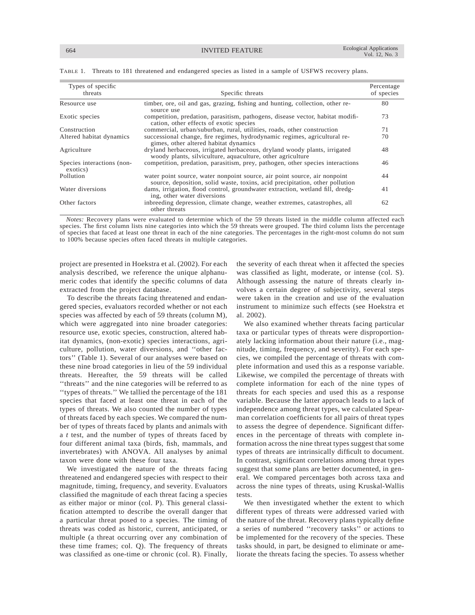| Types of specific<br>threats           | Specific threats                                                                                                                                          | Percentage<br>of species |
|----------------------------------------|-----------------------------------------------------------------------------------------------------------------------------------------------------------|--------------------------|
| Resource use                           | timber, ore, oil and gas, grazing, fishing and hunting, collection, other re-<br>source use                                                               | 80                       |
| Exotic species                         | competition, predation, parasitism, pathogens, disease vector, habitat modifi-<br>cation, other effects of exotic species                                 | 73                       |
| Construction                           | commercial, urban/suburban, rural, utilities, roads, other construction                                                                                   | 71                       |
| Altered habitat dynamics               | successional change, fire regimes, hydrodynamic regimes, agricultural re-<br>gimes, other altered habitat dynamics                                        | 70                       |
| Agriculture                            | dryland herbaceous, irrigated herbaceous, dryland woody plants, irrigated<br>woody plants, silviculture, aquaculture, other agriculture                   | 48                       |
| Species interactions (non-<br>exotics) | competition, predation, parasitism, prey, pathogen, other species interactions                                                                            | 46                       |
| Pollution                              | water point source, water nonpoint source, air point source, air nonpoint<br>source, deposition, solid waste, toxins, acid precipitation, other pollution | 44                       |
| Water diversions                       | dams, irrigation, flood control, groundwater extraction, wetland fill, dredg-<br>ing, other water diversions                                              | 41                       |
| Other factors                          | inbreeding depression, climate change, weather extremes, catastrophes, all<br>other threats                                                               | 62                       |

TABLE 1. Threats to 181 threatened and endangered species as listed in a sample of USFWS recovery plans.

*Notes:* Recovery plans were evaluated to determine which of the 59 threats listed in the middle column affected each species. The first column lists nine categories into which the 59 threats were grouped. The third column lists the percentage of species that faced at least one threat in each of the nine categories. The percentages in the right-most column do not sum to 100% because species often faced threats in multiple categories.

project are presented in Hoekstra et al. (2002). For each analysis described, we reference the unique alphanumeric codes that identify the specific columns of data extracted from the project database.

To describe the threats facing threatened and endangered species, evaluators recorded whether or not each species was affected by each of 59 threats (column M), which were aggregated into nine broader categories: resource use, exotic species, construction, altered habitat dynamics, (non-exotic) species interactions, agriculture, pollution, water diversions, and ''other factors'' (Table 1). Several of our analyses were based on these nine broad categories in lieu of the 59 individual threats. Hereafter, the 59 threats will be called ''threats'' and the nine categories will be referred to as ''types of threats.'' We tallied the percentage of the 181 species that faced at least one threat in each of the types of threats. We also counted the number of types of threats faced by each species. We compared the number of types of threats faced by plants and animals with a *t* test, and the number of types of threats faced by four different animal taxa (birds, fish, mammals, and invertebrates) with ANOVA. All analyses by animal taxon were done with these four taxa.

We investigated the nature of the threats facing threatened and endangered species with respect to their magnitude, timing, frequency, and severity. Evaluators classified the magnitude of each threat facing a species as either major or minor (col. P). This general classification attempted to describe the overall danger that a particular threat posed to a species. The timing of threats was coded as historic, current, anticipated, or multiple (a threat occurring over any combination of these time frames; col. Q). The frequency of threats was classified as one-time or chronic (col. R). Finally,

the severity of each threat when it affected the species was classified as light, moderate, or intense (col. S). Although assessing the nature of threats clearly involves a certain degree of subjectivity, several steps were taken in the creation and use of the evaluation instrument to minimize such effects (see Hoekstra et al. 2002).

We also examined whether threats facing particular taxa or particular types of threats were disproportionately lacking information about their nature (i.e., magnitude, timing, frequency, and severity). For each species, we compiled the percentage of threats with complete information and used this as a response variable. Likewise, we compiled the percentage of threats with complete information for each of the nine types of threats for each species and used this as a response variable. Because the latter approach leads to a lack of independence among threat types, we calculated Spearman correlation coefficients for all pairs of threat types to assess the degree of dependence. Significant differences in the percentage of threats with complete information across the nine threat types suggest that some types of threats are intrinsically difficult to document. In contrast, significant correlations among threat types suggest that some plans are better documented, in general. We compared percentages both across taxa and across the nine types of threats, using Kruskal-Wallis tests.

We then investigated whether the extent to which different types of threats were addressed varied with the nature of the threat. Recovery plans typically define a series of numbered ''recovery tasks'' or actions to be implemented for the recovery of the species. These tasks should, in part, be designed to eliminate or ameliorate the threats facing the species. To assess whether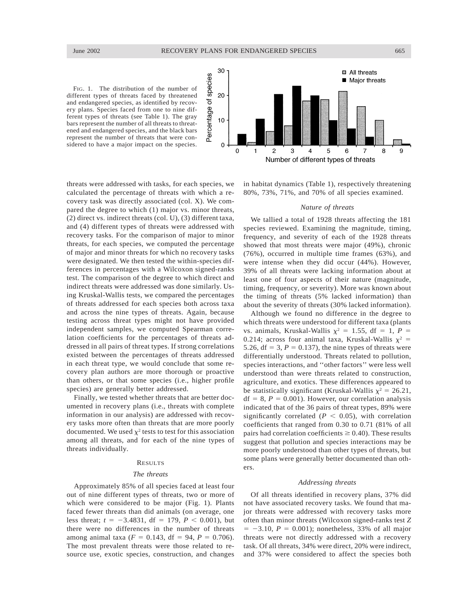FIG. 1. The distribution of the number of different types of threats faced by threatened and endangered species, as identified by recovery plans. Species faced from one to nine different types of threats (see Table 1). The gray bars represent the number of all threats to threatened and endangered species, and the black bars represent the number of threats that were considered to have a major impact on the species.



threats were addressed with tasks, for each species, we calculated the percentage of threats with which a recovery task was directly associated (col. X). We compared the degree to which (1) major vs. minor threats, (2) direct vs. indirect threats (col. U), (3) different taxa, and (4) different types of threats were addressed with recovery tasks. For the comparison of major to minor threats, for each species, we computed the percentage of major and minor threats for which no recovery tasks were designated. We then tested the within-species differences in percentages with a Wilcoxon signed-ranks test. The comparison of the degree to which direct and indirect threats were addressed was done similarly. Using Kruskal-Wallis tests, we compared the percentages of threats addressed for each species both across taxa and across the nine types of threats. Again, because testing across threat types might not have provided independent samples, we computed Spearman correlation coefficients for the percentages of threats addressed in all pairs of threat types. If strong correlations existed between the percentages of threats addressed in each threat type, we would conclude that some recovery plan authors are more thorough or proactive than others, or that some species (i.e., higher profile species) are generally better addressed.

Finally, we tested whether threats that are better documented in recovery plans (i.e., threats with complete information in our analysis) are addressed with recovery tasks more often than threats that are more poorly documented. We used  $\chi^2$  tests to test for this association among all threats, and for each of the nine types of threats individually.

## RESULTS

## *The threats*

Approximately 85% of all species faced at least four out of nine different types of threats, two or more of which were considered to be major (Fig. 1). Plants faced fewer threats than did animals (on average, one less threat;  $t = -3.4831$ , df = 179,  $P < 0.001$ ), but there were no differences in the number of threats among animal taxa ( $F = 0.143$ , df = 94,  $P = 0.706$ ). The most prevalent threats were those related to resource use, exotic species, construction, and changes

in habitat dynamics (Table 1), respectively threatening 80%, 73%, 71%, and 70% of all species examined.

# *Nature of threats*

We tallied a total of 1928 threats affecting the 181 species reviewed. Examining the magnitude, timing, frequency, and severity of each of the 1928 threats showed that most threats were major (49%), chronic (76%), occurred in multiple time frames (63%), and were intense when they did occur (44%). However, 39% of all threats were lacking information about at least one of four aspects of their nature (magnitude, timing, frequency, or severity). More was known about the timing of threats (5% lacked information) than about the severity of threats (30% lacked information).

Although we found no difference in the degree to which threats were understood for different taxa (plants vs. animals, Kruskal-Wallis  $\chi^2 = 1.55$ , df = 1, *P* = 0.214; across four animal taxa, Kruskal-Wallis  $\chi^2$  = 5.26,  $df = 3$ ,  $P = 0.137$ ), the nine types of threats were differentially understood. Threats related to pollution, species interactions, and ''other factors'' were less well understood than were threats related to construction, agriculture, and exotics. These differences appeared to be statistically significant (Kruskal-Wallis  $\chi^2 = 26.21$ ,  $df = 8$ ,  $P = 0.001$ ). However, our correlation analysis indicated that of the 36 pairs of threat types, 89% were significantly correlated  $(P < 0.05)$ , with correlation coefficients that ranged from 0.30 to 0.71 (81% of all pairs had correlation coefficients  $\geq$  0.40). These results suggest that pollution and species interactions may be more poorly understood than other types of threats, but some plans were generally better documented than others.

# *Addressing threats*

Of all threats identified in recovery plans, 37% did not have associated recovery tasks. We found that major threats were addressed with recovery tasks more often than minor threats (Wilcoxon signed-ranks test *Z*  $= -3.10, P = 0.001$ ; nonetheless, 33% of all major threats were not directly addressed with a recovery task. Of all threats, 34% were direct, 20% were indirect, and 37% were considered to affect the species both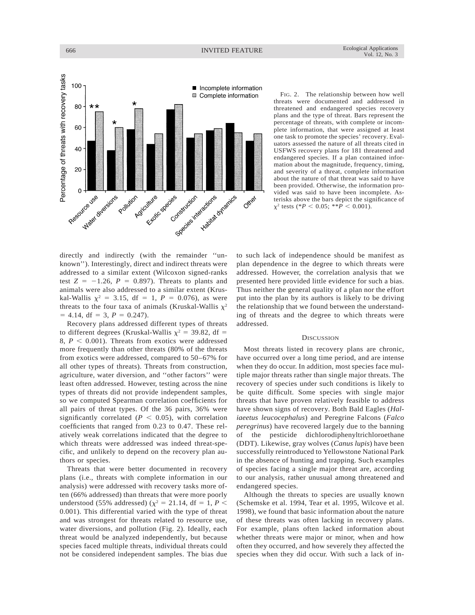

FIG. 2. The relationship between how well threats were documented and addressed in threatened and endangered species recovery plans and the type of threat. Bars represent the percentage of threats, with complete or incomplete information, that were assigned at least one task to promote the species' recovery. Evaluators assessed the nature of all threats cited in USFWS recovery plans for 181 threatened and endangered species. If a plan contained information about the magnitude, frequency, timing, and severity of a threat, complete information about the nature of that threat was said to have been provided. Otherwise, the information provided was said to have been incomplete. Asterisks above the bars depict the significance of  $x^2$  tests (\**P* < 0.05; \*\**P* < 0.001).

directly and indirectly (with the remainder ''unknown''). Interestingly, direct and indirect threats were addressed to a similar extent (Wilcoxon signed-ranks test  $Z = -1.26$ ,  $P = 0.897$ ). Threats to plants and animals were also addressed to a similar extent (Kruskal-Wallis  $\chi^2 = 3.15$ , df = 1, *P* = 0.076), as were threats to the four taxa of animals (Kruskal-Wallis  $\chi^2$  $= 4.14$ , df  $= 3$ ,  $P = 0.247$ .

Recovery plans addressed different types of threats to different degrees (Kruskal-Wallis  $\chi^2$  = 39.82, df = 8,  $P < 0.001$ ). Threats from exotics were addressed more frequently than other threats (80% of the threats from exotics were addressed, compared to 50–67% for all other types of threats). Threats from construction, agriculture, water diversion, and ''other factors'' were least often addressed. However, testing across the nine types of threats did not provide independent samples, so we computed Spearman correlation coefficients for all pairs of threat types. Of the 36 pairs, 36% were significantly correlated ( $P < 0.05$ ), with correlation coefficients that ranged from 0.23 to 0.47. These relatively weak correlations indicated that the degree to which threats were addressed was indeed threat-specific, and unlikely to depend on the recovery plan authors or species.

Threats that were better documented in recovery plans (i.e., threats with complete information in our analysis) were addressed with recovery tasks more often (66% addressed) than threats that were more poorly understood (55% addressed) ( $\chi^2 = 21.14$ , df = 1, *P* < 0.001). This differential varied with the type of threat and was strongest for threats related to resource use, water diversions, and pollution (Fig. 2). Ideally, each threat would be analyzed independently, but because species faced multiple threats, individual threats could not be considered independent samples. The bias due to such lack of independence should be manifest as plan dependence in the degree to which threats were addressed. However, the correlation analysis that we presented here provided little evidence for such a bias. Thus neither the general quality of a plan nor the effort put into the plan by its authors is likely to be driving the relationship that we found between the understanding of threats and the degree to which threats were addressed.

### **DISCUSSION**

Most threats listed in recovery plans are chronic, have occurred over a long time period, and are intense when they do occur. In addition, most species face multiple major threats rather than single major threats. The recovery of species under such conditions is likely to be quite difficult. Some species with single major threats that have proven relatively feasible to address have shown signs of recovery. Both Bald Eagles (*Haliaeetus leucocephalus*) and Peregrine Falcons (*Falco peregrinus*) have recovered largely due to the banning of the pesticide dichlorodiphenyltrichloroethane (DDT). Likewise, gray wolves (*Canus lupis*) have been successfully reintroduced to Yellowstone National Park in the absence of hunting and trapping. Such examples of species facing a single major threat are, according to our analysis, rather unusual among threatened and endangered species.

Although the threats to species are usually known (Schemske et al. 1994, Tear et al. 1995, Wilcove et al. 1998), we found that basic information about the nature of these threats was often lacking in recovery plans. For example, plans often lacked information about whether threats were major or minor, when and how often they occurred, and how severely they affected the species when they did occur. With such a lack of in-